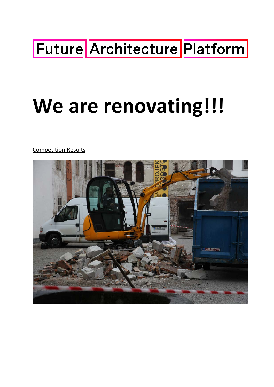# Future Architecture Platform

# **We are renovating!!!**

Competition Results

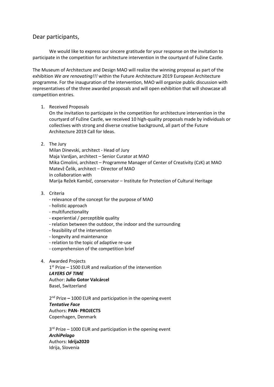# Dear participants,

We would like to express our sincere gratitude for your response on the invitation to participate in the competition for architecture intervention in the courtyard of Fužine Castle.

The Museum of Architecture and Design MAO will realize the winning proposal as part of the exhibition *We are renovating!!!* within the Future Architecture 2019 European Architecture programme. For the inauguration of the intervention, MAO will organize public discussion with representatives of the three awarded proposals and will open exhibition that will showcase all competition entries.

1. Received Proposals

On the invitation to participate in the competition for architecture intervention in the courtyard of Fužine Castle, we received 10 high-quality proposals made by individuals or collectives with strong and diverse creative background, all part of the Future Architecture 2019 Call for Ideas.

2. The Jury

Milan Dinevski, architect - Head of Jury Maja Vardjan, architect – Senior Curator at MAO Mika Cimolini, architect – Programme Manager of Center of Creativity (CzK) at MAO Matevž Čelik, architect – Director of MAO in collaboration with Marija Režek Kambič, conservator – Institute for Protection of Cultural Heritage

- 3. Criteria
	- relevance of the concept for the purpose of MAO
	- holistic approach
	- multifunctionality
	- experiential / perceptible quality
	- relation between the outdoor, the indoor and the surrounding
	- feasibility of the intervention
	- longevity and maintenance
	- relation to the topic of adaptive re-use
	- comprehension of the competition brief
- 4. Awarded Projects

 $1<sup>st</sup>$  Prize – 1500 EUR and realization of the intervention *LAYERS OF TIME* Author: **Julio Gotor Valcárcel** Basel, Switzerland

2nd Prize **–** 1000 EUR and participation in the opening event *Tentative Face* Authors: **PAN- PROJECTS** Copenhagen, Denmark

3<sup>rd</sup> Prize – 1000 EUR and participation in the opening event *ArchiPelago* Authors: **Idrija2020** Idrija, Slovenia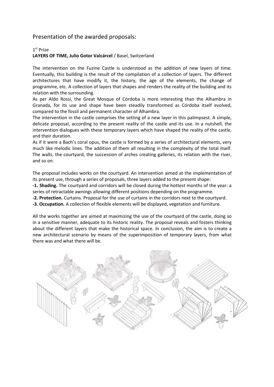# Presentation of the awarded proposals:

### 1st Prize

# **LAYERS OF TIME, Julio Gotor Valcárcel** / Basel, Switzerland

The intervention on the Fuzine Castle is understood as the addition of new layers of time. Eventually, this building is the result of the compilation of a collection of layers. The different architectures that have modify it, the history, the age of the elements, the change of programme, etc. A collection of layers that shapes and renders the reality of the building and its relation with the surrounding.

As per Aldo Rossi, the Great Mosque of Córdoba is more interesting than the Alhambra in Granada, for its use and shape have been steadily transformed as Córdoba itself evolved, compared to the fossil and permanent character of Alhambra.

The intervention in the castle comprises the setting of a new layer in this palimpsest. A simple, delicate proposal, according to the present reality of the castle and its use. In a nutshell, the intervention dialogues with these temporary layers which have shaped the reality of the castle, and their duration.

As if it were a Bach's coral opus, the castle is formed by a series of architectural elements, very much like melodic lines. The addition of them all resulting in the complexity of the total itself. The walls, the courtyard, the succession of arches creating galleries, its relation with the river, and so on.

The proposal includes works on the courtyard. An intervention aimed at the implementation of its present use, through a series of proposals, three layers added to the present shape:

**-1. Shading.** The courtyard and corridors will be closed during the hottest months of the year: a series of retractable awnings allowing different positions depending on the programme.

**-2. Protection.** Curtains. Proposal for the use of curtains in the corridors next to the courtyard.

**-3. Occupation.** A collection of flexible elements will be displayed, vegetation and furniture.

All the works together are aimed at maximizing the use of the courtyard of the castle, doing so in a sensitive manner, adequate to its historic reality. The proposal reveals and fosters thinking about the different layers that make the historical space. In conclusion, the aim is to create a new architectural scenario by means of the superimposition of temporary layers, from what there was and what there will be.

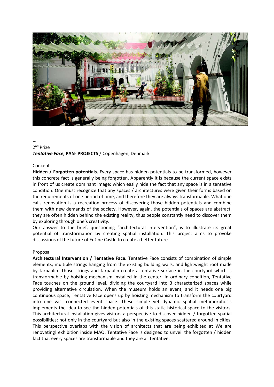

#### -- 2nd Prize

# *Tentative Face***, PAN- PROJECTS** / Copenhagen, Denmark

#### Concept

**Hidden / Forgotten potentials.** Every space has hidden potentials to be transformed, however this concrete fact is generally being forgotten. Apparently it is because the current space exists in front of us create dominant image: which easily hide the fact that any space is in a tentative condition. One must recognize that any spaces / architectures were given their forms based on the requirements of one period of time, and therefore they are always transformable. What one calls renovation is a recreation process of discovering those hidden potentials and combine them with new demands of the society. However, again, the potentials of spaces are abstract, they are often hidden behind the existing reality, thus people constantly need to discover them by exploring through one's creativity.

Our answer to the brief, questioning "architectural intervention", is to illustrate its great potential of transformation by creating spatial installation. This project aims to provoke discussions of the future of Fužine Castle to create a better future.

#### Proposal

**Architectural Intervention / Tentative Face.** Tentative Face consists of combination of simple elements; multiple strings hanging from the existing building walls, and lightweight roof made by tarpaulin. Those strings and tarpaulin create a tentative surface in the courtyard which is transformable by hoisting mechanism installed in the center. In ordinary condition, Tentative Face touches on the ground level, dividing the courtyard into 3 characterized spaces while providing alternative circulation. When the museum holds an event, and it needs one big continuous space, Tentative Face opens up by hoisting mechanism to transform the courtyard into one vast connected event space. These simple yet dynamic spatial metamorphosis implements the idea to see the hidden potentials of this static historical space to the visitors. This architectural installation gives visitors a perspective to discover hidden / forgotten spatial possibilities; not only in the courtyard but also in the existing spaces scattered around in cities. This perspective overlaps with the vision of architects that are being exhibited at We are renovating! exhibition inside MAO. Tentative Face is designed to unveil the forgotten / hidden fact that every spaces are transformable and they are all tentative.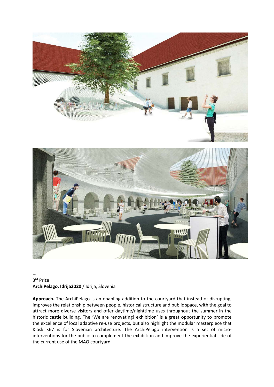

## -- 3rd Prize **ArchiPelago, Idrija2020** / Idrija, Slovenia

**Approach.** The ArchiPelago is an enabling addition to the courtyard that instead of disrupting, improves the relationship between people, historical structure and public space, with the goal to attract more diverse visitors and offer daytime/nighttime uses throughout the summer in the historic castle building. The 'We are renovating! exhibition' is a great opportunity to promote the excellence of local adaptive re-use projects, but also highlight the modular masterpiece that Kiosk K67 is for Slovenian architecture. The ArchiPelago intervention is a set of microinterventions for the public to complement the exhibition and improve the experiential side of the current use of the MAO courtyard.